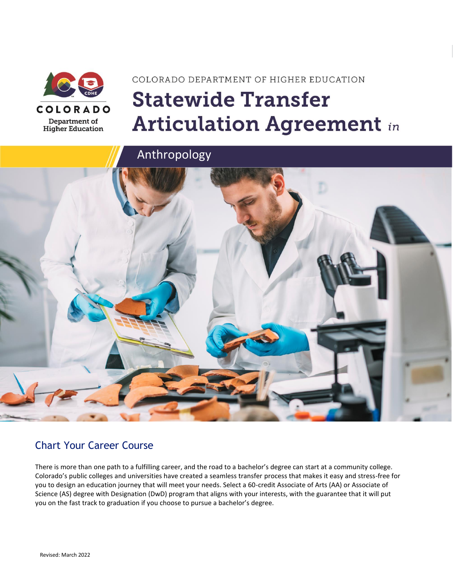

**Higher Education** 

# COLORADO DEPARTMENT OF HIGHER EDUCATION **Statewide Transfer Articulation Agreement in**





### Chart Your Career Course

There is more than one path to a fulfilling career, and the road to a bachelor's degree can start at a community college. Colorado's public colleges and universities have created a seamless transfer process that makes it easy and stress-free for you to design an education journey that will meet your needs. Select a 60-credit Associate of Arts (AA) or Associate of Science (AS) degree with Designation (DwD) program that aligns with your interests, with the guarantee that it will put you on the fast track to graduation if you choose to pursue a bachelor's degree.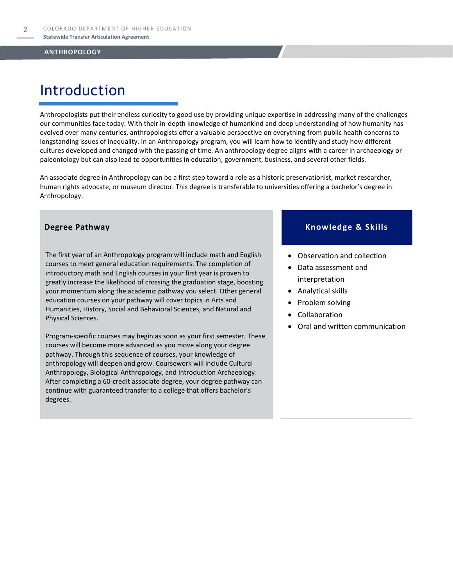### Introduction

Anthropologists put their endless curiosity to good use by providing unique expertise in addressing many of the challenges our communities face today. With their in-depth knowledge of humankind and deep understanding of how humanity has evolved over many centuries, anthropologists offer a valuable perspective on everything from public health concerns to longstanding issues of inequality. In an Anthropology program, you will learn how to identify and study how different cultures developed and changed with the passing of time. An anthropology degree aligns with a career in archaeology or paleontology but can also lead to opportunities in education, government, business, and several other fields.

An associate degree in Anthropology can be a first step toward a role as a historic preservationist, market researcher, human rights advocate, or museum director. This degree is transferable to universities offering a bachelor's degree in Anthropology.

The first year of an Anthropology program will include math and English courses to meet general education requirements. The completion of introductory math and English courses in your first year is proven to greatly increase the likelihood of crossing the graduation stage, boosting your momentum along the academic pathway you select. Other general education courses on your pathway will cover topics in Arts and Humanities, History, Social and Behavioral Sciences, and Natural and Physical Sciences.

Program-specific courses may begin as soon as your first semester. These courses will become more advanced as you move along your degree pathway. Through this sequence of courses, your knowledge of anthropology will deepen and grow. Coursework will include Cultural Anthropology, Biological Anthropology, and Introduction Archaeology. After completing a 60-credit associate degree, your degree pathway can continue with guaranteed transfer to a college that offers bachelor's degrees.

### **Degree Pathway Knowledge & Skills**

- Observation and collection
- Data assessment and interpretation
- Analytical skills
- Problem solving
- Collaboration
- Oral and written communication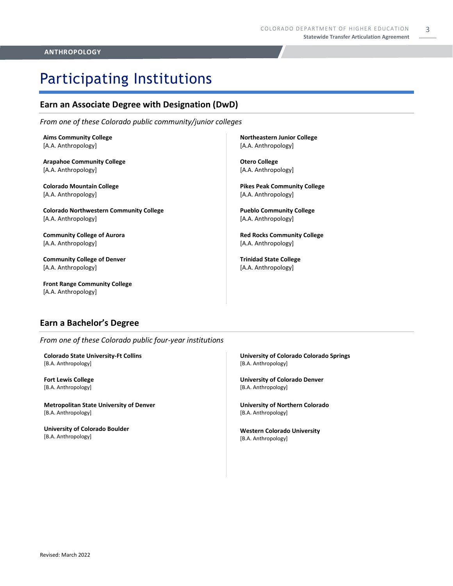# Participating Institutions

### **Earn an Associate Degree with Designation (DwD)**

*From one of these Colorado public community/junior colleges*

**Aims Community College** [A.A. Anthropology]

**Arapahoe Community College** [A.A. Anthropology]

**Colorado Mountain College** [A.A. Anthropology]

**Colorado Northwestern Community College** [A.A. Anthropology]

**Community College of Aurora** [A.A. Anthropology]

**Community College of Denver** [A.A. Anthropology]

**Front Range Community College** [A.A. Anthropology]

**Northeastern Junior College** [A.A. Anthropology]

**Otero College** [A.A. Anthropology]

**Pikes Peak Community College** [A.A. Anthropology]

**Pueblo Community College** [A.A. Anthropology]

**Red Rocks Community College**  [A.A. Anthropology]

**Trinidad State College** [A.A. Anthropology]

### **Earn a Bachelor's Degree**

*From one of these Colorado public four-year institutions*

**Colorado State University-Ft Collins**  [B.A. Anthropology]

**Fort Lewis College**  [B.A. Anthropology]

**Metropolitan State University of Denver**  [B.A. Anthropology]

**University of Colorado Boulder**  [B.A. Anthropology]

**University of Colorado Colorado Springs** [B.A. Anthropology]

**University of Colorado Denver** [B.A. Anthropology]

**University of Northern Colorado** [B.A. Anthropology]

**Western Colorado University** [B.A. Anthropology]

### **ANTHROPOLOGY**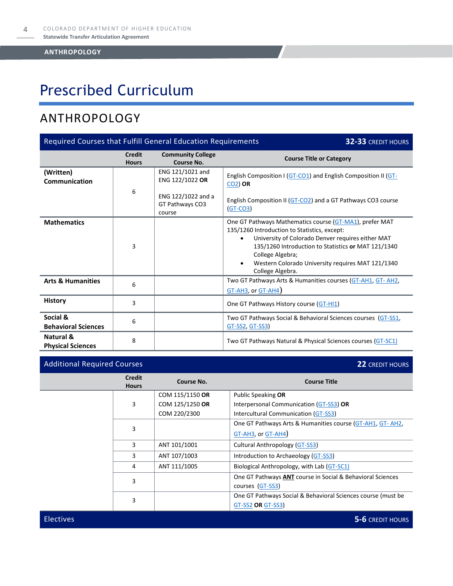# Prescribed Curriculum

### ANTHROPOLOGY

| Required Courses that Fulfill General Education Requirements<br>32-33 CREDIT HOURS |                               |                                                 |                                                                                                                                                                                                                                                                                                                                            |
|------------------------------------------------------------------------------------|-------------------------------|-------------------------------------------------|--------------------------------------------------------------------------------------------------------------------------------------------------------------------------------------------------------------------------------------------------------------------------------------------------------------------------------------------|
|                                                                                    | <b>Credit</b><br><b>Hours</b> | <b>Community College</b><br>Course No.          | <b>Course Title or Category</b>                                                                                                                                                                                                                                                                                                            |
| (Written)<br>Communication                                                         | 6                             | ENG 121/1021 and<br>ENG 122/1022 OR             | English Composition I (GT-CO1) and English Composition II (GT-<br>$CO2$ ) OR                                                                                                                                                                                                                                                               |
|                                                                                    |                               | ENG 122/1022 and a<br>GT Pathways CO3<br>course | English Composition II (GT-CO2) and a GT Pathways CO3 course<br>$(GT-CO3)$                                                                                                                                                                                                                                                                 |
| <b>Mathematics</b>                                                                 | 3                             |                                                 | One GT Pathways Mathematics course (GT-MA1), prefer MAT<br>135/1260 Introduction to Statistics, except:<br>University of Colorado Denver requires either MAT<br>$\bullet$<br>135/1260 Introduction to Statistics or MAT 121/1340<br>College Algebra;<br>Western Colorado University requires MAT 121/1340<br>$\bullet$<br>College Algebra. |
| <b>Arts &amp; Humanities</b>                                                       | 6                             |                                                 | Two GT Pathways Arts & Humanities courses (GT-AH1, GT-AH2,<br>$GT-AH3$ , or $GT-AH4$ )                                                                                                                                                                                                                                                     |
| <b>History</b>                                                                     | 3                             |                                                 | One GT Pathways History course (GT-HI1)                                                                                                                                                                                                                                                                                                    |
| Social &<br><b>Behavioral Sciences</b>                                             | 6                             |                                                 | Two GT Pathways Social & Behavioral Sciences courses (GT-SS1,<br><u>GT-SS2, GT-SS3</u> )                                                                                                                                                                                                                                                   |
| Natural &<br><b>Physical Sciences</b>                                              | 8                             |                                                 | Two GT Pathways Natural & Physical Sciences courses (GT-SC1)                                                                                                                                                                                                                                                                               |

| <b>Additional Required Courses</b> |                               |                 | <b>22 CREDIT HOURS</b>                                       |  |
|------------------------------------|-------------------------------|-----------------|--------------------------------------------------------------|--|
|                                    | <b>Credit</b><br><b>Hours</b> | Course No.      | <b>Course Title</b>                                          |  |
|                                    |                               | COM 115/1150 OR | Public Speaking OR                                           |  |
|                                    | 3                             | COM 125/1250 OR | Interpersonal Communication (GT-SS3) OR                      |  |
|                                    |                               | COM 220/2300    | Intercultural Communication (GT-SS3)                         |  |
|                                    |                               |                 | One GT Pathways Arts & Humanities course (GT-AH1, GT-AH2,    |  |
|                                    | 3                             |                 | GT-AH3, or GT-AH4)                                           |  |
|                                    | 3                             | ANT 101/1001    | Cultural Anthropology (GT-SS3)                               |  |
|                                    | 3                             | ANT 107/1003    | Introduction to Archaeology (GT-SS3)                         |  |
| 4                                  |                               | ANT 111/1005    | Biological Anthropology, with Lab (GT-SC1)                   |  |
|                                    |                               |                 | One GT Pathways ANT course in Social & Behavioral Sciences   |  |
|                                    | 3<br>courses (GT-SS3)         |                 |                                                              |  |
|                                    | 3                             |                 | One GT Pathways Social & Behavioral Sciences course (must be |  |
|                                    |                               |                 | GT-SS2 OR GT-SS3)                                            |  |
|                                    |                               |                 |                                                              |  |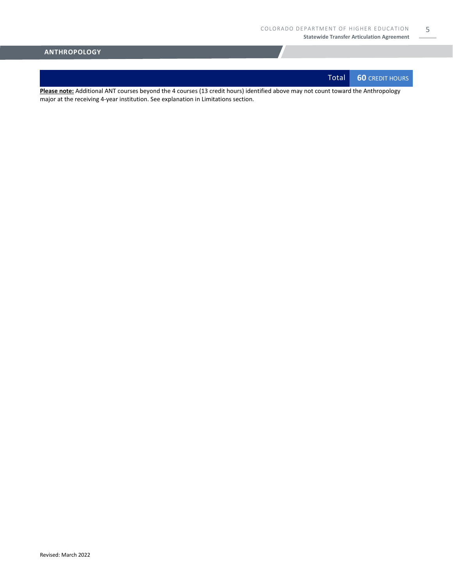Total **60** CREDIT HOURS

5

**Please note:** Additional ANT courses beyond the 4 courses (13 credit hours) identified above may not count toward the Anthropology major at the receiving 4-year institution. See explanation in Limitations section.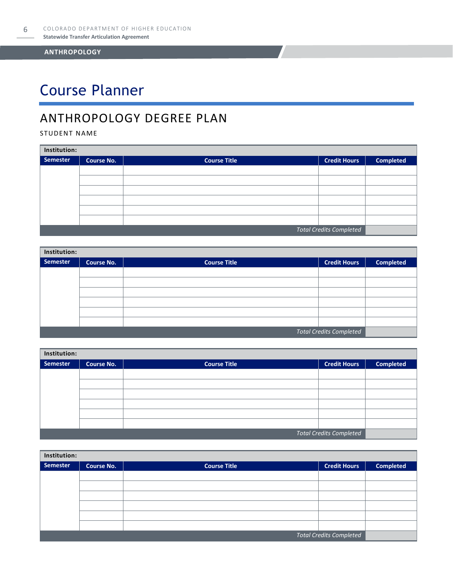# Course Planner

### ANTHROPOLOGY DEGREE PLAN

### STUDENT NAME

| Institution:                   |                   |                     |                     |                  |  |
|--------------------------------|-------------------|---------------------|---------------------|------------------|--|
| Semester                       | <b>Course No.</b> | <b>Course Title</b> | <b>Credit Hours</b> | <b>Completed</b> |  |
|                                |                   |                     |                     |                  |  |
|                                |                   |                     |                     |                  |  |
|                                |                   |                     |                     |                  |  |
|                                |                   |                     |                     |                  |  |
|                                |                   |                     |                     |                  |  |
|                                |                   |                     |                     |                  |  |
| <b>Total Credits Completed</b> |                   |                     |                     |                  |  |

| Institution:                   |                   |                     |                     |                  |  |
|--------------------------------|-------------------|---------------------|---------------------|------------------|--|
| Semester                       | <b>Course No.</b> | <b>Course Title</b> | <b>Credit Hours</b> | <b>Completed</b> |  |
|                                |                   |                     |                     |                  |  |
|                                |                   |                     |                     |                  |  |
|                                |                   |                     |                     |                  |  |
|                                |                   |                     |                     |                  |  |
|                                |                   |                     |                     |                  |  |
|                                |                   |                     |                     |                  |  |
| <b>Total Credits Completed</b> |                   |                     |                     |                  |  |

| Institution: |                   |                     |                                |                  |  |
|--------------|-------------------|---------------------|--------------------------------|------------------|--|
| Semester     | <b>Course No.</b> | <b>Course Title</b> | <b>Credit Hours</b>            | <b>Completed</b> |  |
|              |                   |                     |                                |                  |  |
|              |                   |                     |                                |                  |  |
|              |                   |                     |                                |                  |  |
|              |                   |                     |                                |                  |  |
|              |                   |                     |                                |                  |  |
|              |                   |                     |                                |                  |  |
|              |                   |                     | <b>Total Credits Completed</b> |                  |  |

| Institution:                   |                   |                     |                     |                  |  |
|--------------------------------|-------------------|---------------------|---------------------|------------------|--|
| Semester                       | <b>Course No.</b> | <b>Course Title</b> | <b>Credit Hours</b> | <b>Completed</b> |  |
|                                |                   |                     |                     |                  |  |
|                                |                   |                     |                     |                  |  |
|                                |                   |                     |                     |                  |  |
|                                |                   |                     |                     |                  |  |
|                                |                   |                     |                     |                  |  |
|                                |                   |                     |                     |                  |  |
| <b>Total Credits Completed</b> |                   |                     |                     |                  |  |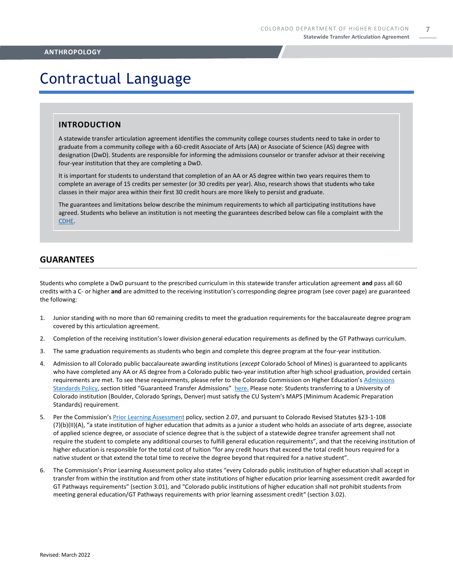## Contractual Language

### **INTRODUCTION**

A statewide transfer articulation agreement identifies the community college courses students need to take in order to graduate from a community college with a 60-credit Associate of Arts (AA) or Associate of Science (AS) degree with designation (DwD). Students are responsible for informing the admissions counselor or transfer advisor at their receiving four-year institution that they are completing a DwD.

It is important for students to understand that completion of an AA or AS degree within two years requires them to complete an average of 15 credits per semester (or 30 credits per year). Also, research shows that students who take classes in their major area within their first 30 credit hours are more likely to persist and graduate.

The guarantees and limitations below describe the minimum requirements to which all participating institutions have agreed. Students who believe an institution is not meeting the guarantees described below can file a complaint with the [CDHE.](https://highered.colorado.gov/filing-student-complaint)

### **GUARANTEES**

Students who complete a DwD pursuant to the prescribed curriculum in this statewide transfer articulation agreement **and** pass all 60 credits with a C- or higher **and** are admitted to the receiving institution's corresponding degree program (see cover page) are guaranteed the following:

- 1. Junior standing with no more than 60 remaining credits to meet the graduation requirements for the baccalaureate degree program covered by this articulation agreement.
- 2. Completion of the receiving institution's lower division general education requirements as defined by the GT Pathways curriculum.
- 3. The same graduation requirements as students who begin and complete this degree program at the four-year institution.
- 4. Admission to all Colorado public baccalaureate awarding institutions (*except* Colorado School of Mines) is guaranteed to applicants who have completed any AA or AS degree from a Colorado public two-year institution after high school graduation, provided certain requirements are met. To see these requirements, please refer to the Colorado Commission on Higher Education's [Admissions](https://highered.colorado.gov/sites/highered/files/2020-03/i-partf_0.pdf)  [Standards Policy](https://highered.colorado.gov/sites/highered/files/2020-03/i-partf_0.pdf), section titled "Guaranteed Transfer Admissions" [here.](https://highered.colorado.gov/educators/policy-funding/cche-policies-procedures) Please note: Students transferring to a University of Colorado institution (Boulder, Colorado Springs, Denver) must satisfy the CU System's MAPS (Minimum Academic Preparation Standards) requirement.
- 5. Per the Commission's [Prior Learning Assessment](https://highered.colorado.gov/Publications/Policies/Current/i-partx.pdf) policy, section 2.07, and pursuant to Colorado Revised Statutes §23-1-108 (7)(b)(II)(A), "a state institution of higher education that admits as a junior a student who holds an associate of arts degree, associate of applied science degree, or associate of science degree that is the subject of a statewide degree transfer agreement shall not require the student to complete any additional courses to fulfill general education requirements", and that the receiving institution of higher education is responsible for the total cost of tuition "for any credit hours that exceed the total credit hours required for a native student or that extend the total time to receive the degree beyond that required for a native student".
- 6. The Commission's Prior Learning Assessment policy also states "every Colorado public institution of higher education shall accept in transfer from within the institution and from other state institutions of higher education prior learning assessment credit awarded for GT Pathways requirements" (section 3.01), and "Colorado public institutions of higher education shall not prohibit students from meeting general education/GT Pathways requirements with prior learning assessment credit" (section 3.02).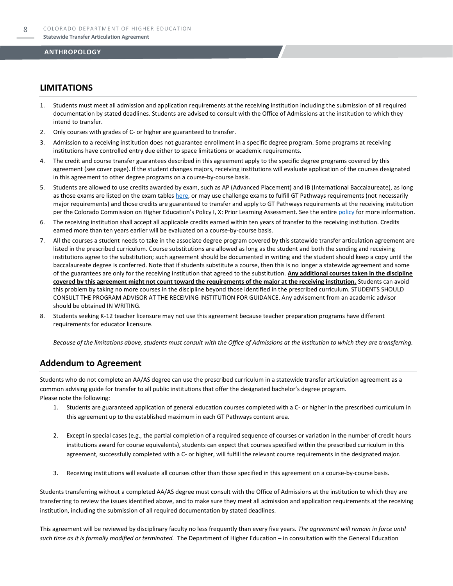### **LIMITATIONS**

- 1. Students must meet all admission and application requirements at the receiving institution including the submission of all required documentation by stated deadlines. Students are advised to consult with the Office of Admissions at the institution to which they intend to transfer.
- 2. Only courses with grades of C- or higher are guaranteed to transfer.
- 3. Admission to a receiving institution does not guarantee enrollment in a specific degree program. Some programs at receiving institutions have controlled entry due either to space limitations or academic requirements.
- 4. The credit and course transfer guarantees described in this agreement apply to the specific degree programs covered by this agreement (see cover page). If the student changes majors, receiving institutions will evaluate application of the courses designated in this agreement to other degree programs on a course-by-course basis.
- 5. Students are allowed to use credits awarded by exam, such as AP (Advanced Placement) and IB (International Baccalaureate), as long as those exams are listed on the exam table[s here,](https://highered.colorado.gov/get-credit-for-what-you-already-know) or may use challenge exams to fulfill GT Pathways requirements (not necessarily major requirements) and those credits are guaranteed to transfer and apply to GT Pathways requirements at the receiving institution per the Colorado Commission on Higher Education's Policy I, X: Prior Learning Assessment. See the entire [policy](https://highered.colorado.gov/Publications/Policies/Current/i-partx.pdf) for more information.
- 6. The receiving institution shall accept all applicable credits earned within ten years of transfer to the receiving institution. Credits earned more than ten years earlier will be evaluated on a course-by-course basis.
- 7. All the courses a student needs to take in the associate degree program covered by this statewide transfer articulation agreement are listed in the prescribed curriculum. Course substitutions are allowed as long as the student and both the sending and receiving institutions agree to the substitution; such agreement should be documented in writing and the student should keep a copy until the baccalaureate degree is conferred. Note that if students substitute a course, then this is no longer a statewide agreement and some of the guarantees are only for the receiving institution that agreed to the substitution. **Any additional courses taken in the discipline covered by this agreement might not count toward the requirements of the major at the receiving institution.** Students can avoid this problem by taking no more courses in the discipline beyond those identified in the prescribed curriculum. STUDENTS SHOULD CONSULT THE PROGRAM ADVISOR AT THE RECEIVING INSTITUTION FOR GUIDANCE. Any advisement from an academic advisor should be obtained IN WRITING.
- Students seeking K-12 teacher licensure may not use this agreement because teacher preparation programs have different requirements for educator licensure.

*Because of the limitations above, students must consult with the Office of Admissions at the institution to which they are transferring.*

### **Addendum to Agreement**

Students who do not complete an AA/AS degree can use the prescribed curriculum in a statewide transfer articulation agreement as a common advising guide for transfer to all public institutions that offer the designated bachelor's degree program. Please note the following:

- 1. Students are guaranteed application of general education courses completed with a C- or higher in the prescribed curriculum in this agreement up to the established maximum in each GT Pathways content area.
- 2. Except in special cases (e.g., the partial completion of a required sequence of courses or variation in the number of credit hours institutions award for course equivalents), students can expect that courses specified within the prescribed curriculum in this agreement, successfully completed with a C- or higher, will fulfill the relevant course requirements in the designated major.
- 3. Receiving institutions will evaluate all courses other than those specified in this agreement on a course-by-course basis.

Students transferring without a completed AA/AS degree must consult with the Office of Admissions at the institution to which they are transferring to review the issues identified above, and to make sure they meet all admission and application requirements at the receiving institution, including the submission of all required documentation by stated deadlines.

This agreement will be reviewed by disciplinary faculty no less frequently than every five years. *The agreement will remain in force until such time as it is formally modified or terminated.* The Department of Higher Education – in consultation with the General Education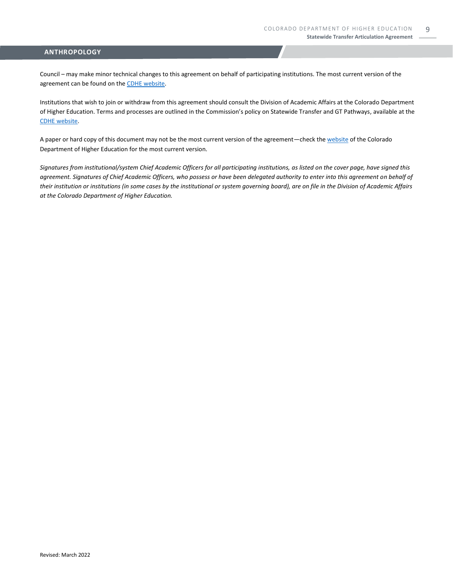Council – may make minor technical changes to this agreement on behalf of participating institutions. The most current version of the agreement can be found on th[e CDHE website.](https://highered.colorado.gov/transfer-degrees)

Institutions that wish to join or withdraw from this agreement should consult the Division of Academic Affairs at the Colorado Department of Higher Education. Terms and processes are outlined in the Commission's policy on Statewide Transfer and GT Pathways, available at the [CDHE website.](https://highered.colorado.gov/educators/policy-funding/general-education-ge-council/gtpathways/transfer-agreements)

A paper or hard copy of this document may not be the most current version of the agreement—check th[e website](https://highered.colorado.gov/transfer-degrees) of the Colorado Department of Higher Education for the most current version.

*Signatures from institutional/system Chief Academic Officers for all participating institutions, as listed on the cover page, have signed this agreement. Signatures of Chief Academic Officers, who possess or have been delegated authority to enter into this agreement on behalf of their institution or institutions (in some cases by the institutional or system governing board), are on file in the Division of Academic Affairs at the Colorado Department of Higher Education.*